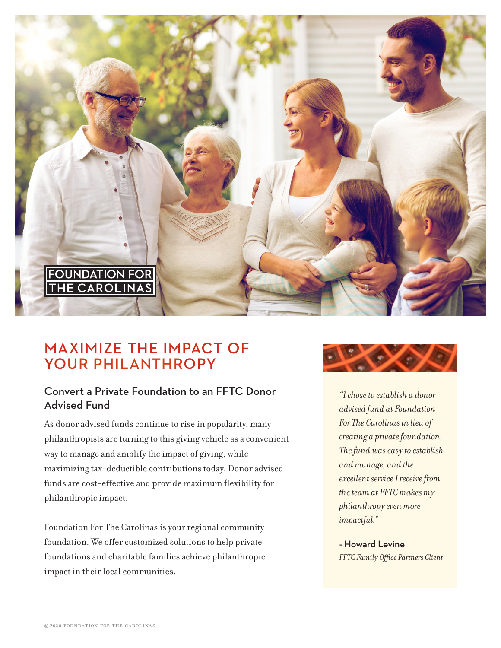

# MAXIMIZE THE IMPACT OF YOUR PHILANTHROPY

## Convert a Private Foundation to an FFTC Donor Advised Fund

As donor advised funds continue to rise in popularity, many philanthropists are turning to this giving vehicle as a convenient way to manage and amplify the impact of giving, while maximizing tax-deductible contributions today. Donor advised funds are cost-effective and provide maximum flexibility for philanthropic impact.

Foundation For The Carolinas is your regional community foundation. We offer customized solutions to help private foundations and charitable families achieve philanthropic impact in their local communities.



*"I chose to establish a donor advised fund at Foundation For The Carolinas in lieu of creating a private foundation. The fund was easy to establish and manage, and the excellent service I receive from the team at FFTC makes my philanthropy even more impactful."*

- Howard Levine *FFTC Family Office Partners Client*